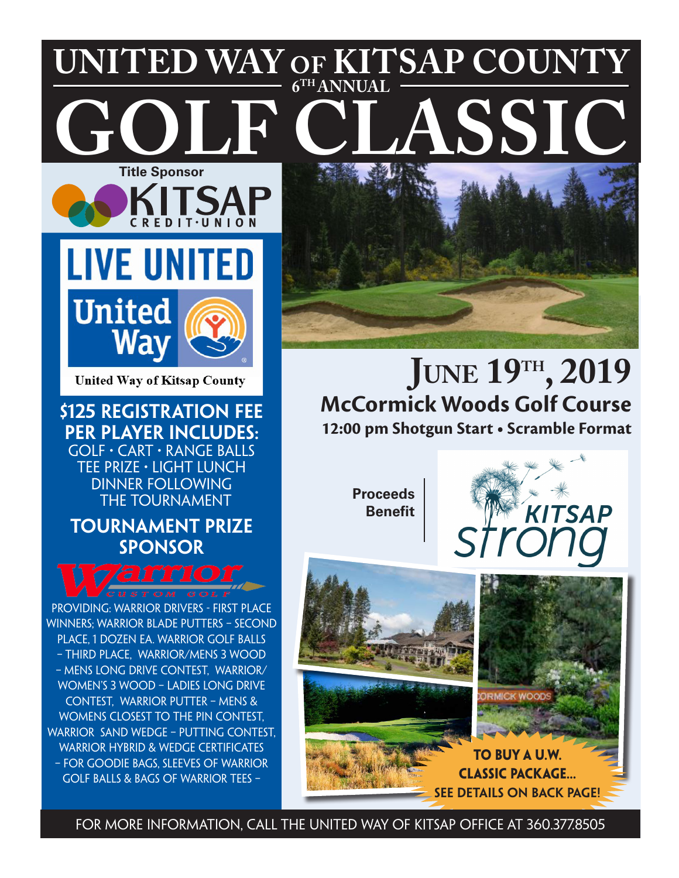## **Title Sponsor UNITED WAY of KITSAP COUNTY ASSIC 6TH ANNUAL**



**United Way of Kitsap County** 

**\$125 Registration Fee per player includes:** Golf • Cart • Range Balls Tee Prize • Light Lunch Dinner following THE TOURNAMENT

## **Tournament Prize Sponsor**



providing: Warrior Drivers - First Place Winners; Warrior Blade Putters – Second Place, 1 Dozen Ea. Warrior Golf Balls – Third Place, Warrior/Mens 3 Wood – Mens Long Drive Contest, Warrior/ Women's 3 Wood – Ladies Long Drive Contest, Warrior Putter – Mens & Womens Closest To The Pin Contest, WARRIOR SAND WEDGE - PUTTING CONTEST. Warrior Hybrid & Wedge Certificates – for Goodie Bags, Sleeves of Warrior Golf Balls & Bags of Warrior Tees –



## JUNE 19<sup>TH</sup>, 2019 **12:00 pm Shotgun Start • Scramble Format McCormick Woods Golf Course**

**Proceeds Benefit**





For More information, call the United Way of Kitsap office at 360.377.8505